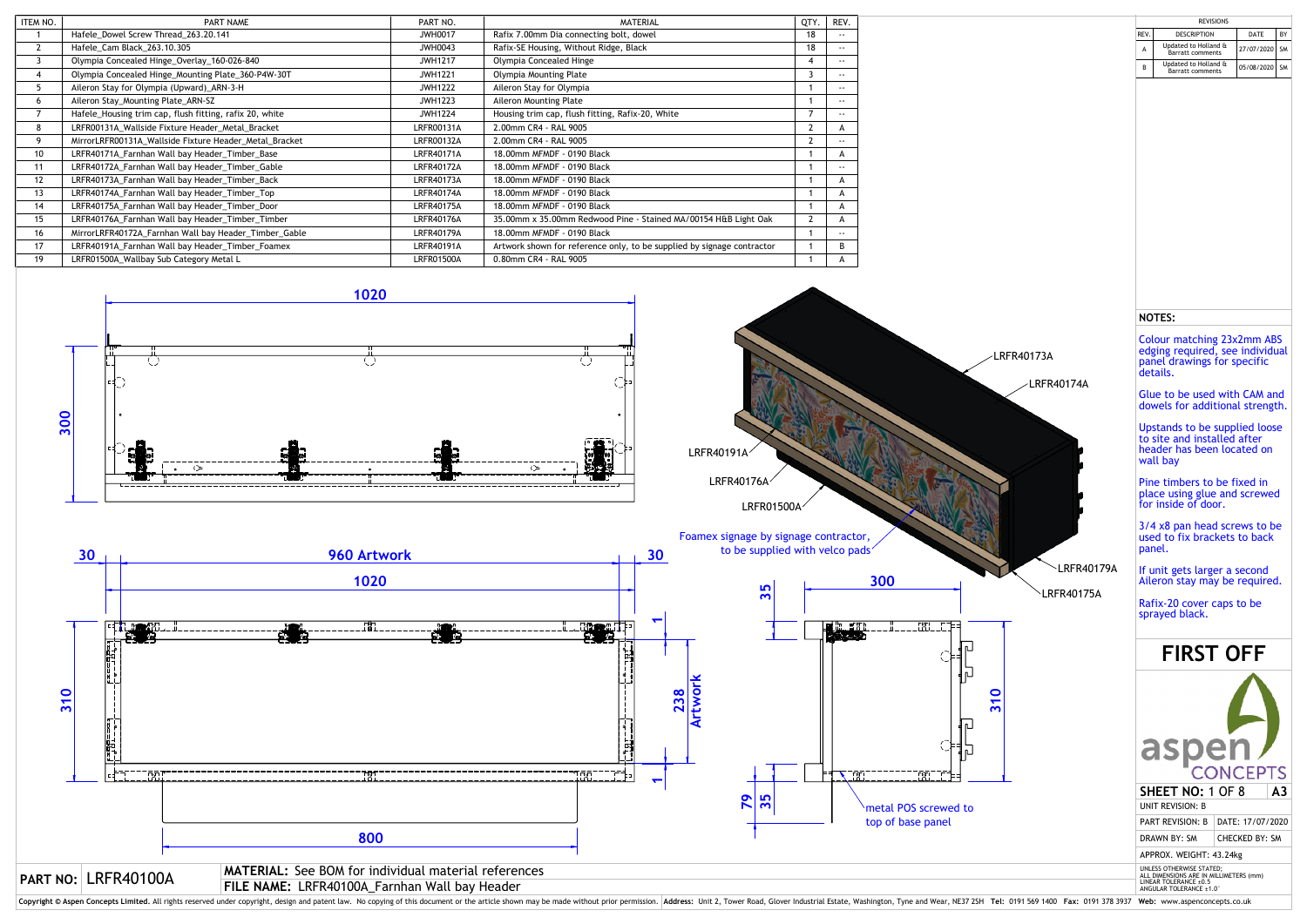| <b>REVISIONS</b> |                                                 |            |           |  |  |  |  |
|------------------|-------------------------------------------------|------------|-----------|--|--|--|--|
| REV.             | <b>DESCRIPTION</b>                              | DATE       | BY        |  |  |  |  |
| A                | Updated to Holland &<br><b>Barratt comments</b> | 27/07/2020 | <b>SM</b> |  |  |  |  |
| B                | Updated to Holland &<br><b>Barratt comments</b> | 05/08/2020 | <b>SM</b> |  |  |  |  |
|                  |                                                 |            |           |  |  |  |  |
|                  |                                                 |            |           |  |  |  |  |
|                  |                                                 |            |           |  |  |  |  |
|                  |                                                 |            |           |  |  |  |  |

| ITEM NO. | PART NAME                                               | PART NO.          | <b>MATERIAL</b>                                                        | QTY. | REV.          |
|----------|---------------------------------------------------------|-------------------|------------------------------------------------------------------------|------|---------------|
|          | Hafele Dowel Screw Thread 263.20.141                    | <b>JWH0017</b>    | Rafix 7.00mm Dia connecting bolt, dowel                                | 18   | $\sim$ $\sim$ |
| 2        | Hafele_Cam Black_263.10.305                             | JWH0043           | Rafix-SE Housing, Without Ridge, Black                                 | 18   | $\sim$ $\sim$ |
| 3        | Olympia Concealed Hinge_Overlay_160-026-840             | <b>JWH1217</b>    | Olympia Concealed Hinge                                                |      | $\sim$ $\sim$ |
| 4        | Olympia Concealed Hinge_Mounting Plate_360-P4W-30T      | <b>JWH1221</b>    | Olympia Mounting Plate                                                 |      | $\sim$ $\sim$ |
| 5        | Aileron Stay for Olympia (Upward)_ARN-3-H               | <b>JWH1222</b>    | Aileron Stay for Olympia                                               |      | $\sim$ $\sim$ |
| 6        | Aileron Stay_Mounting Plate_ARN-SZ                      | <b>JWH1223</b>    | Aileron Mounting Plate                                                 |      | $\sim$ $\sim$ |
|          | Hafele_Housing trim cap, flush fitting, rafix 20, white | <b>JWH1224</b>    | Housing trim cap, flush fitting, Rafix-20, White                       |      | $\sim$ $\sim$ |
| 8        | LRFR00131A_Wallside Fixture Header_Metal_Bracket        | LRFR00131A        | 2.00mm CR4 - RAL 9005                                                  |      | A             |
| 9        | MirrorLRFR00131A Wallside Fixture Header Metal Bracket  | <b>LRFR00132A</b> | 2.00mm CR4 - RAL 9005                                                  |      | $\sim$ $\sim$ |
| 10       | LRFR40171A_Farnhan Wall bay Header_Timber_Base          | <b>LRFR40171A</b> | 18.00mm MFMDF - 0190 Black                                             |      | A             |
| 11       | LRFR40172A_Farnhan Wall bay Header_Timber_Gable         | LRFR40172A        | 18.00mm MFMDF - 0190 Black                                             |      | $\sim$ $\sim$ |
| 12       | LRFR40173A_Farnhan Wall bay Header_Timber_Back          | <b>LRFR40173A</b> | 18.00mm MFMDF - 0190 Black                                             |      | A             |
| 13       | LRFR40174A_Farnhan Wall bay Header_Timber_Top           | <b>LRFR40174A</b> | 18.00mm MFMDF - 0190 Black                                             |      | A             |
| 14       | LRFR40175A_Farnhan Wall bay Header_Timber_Door          | <b>LRFR40175A</b> | 18.00mm MFMDF - 0190 Black                                             |      | A             |
| 15       | LRFR40176A_Farnhan Wall bay Header_Timber_Timber        | <b>LRFR40176A</b> | 35.00mm x 35.00mm Redwood Pine - Stained MA/00154 H&B Light Oak        |      | A             |
| 16       | MirrorLRFR40172A_Farnhan Wall bay Header_Timber_Gable   | <b>LRFR40179A</b> | 18.00mm MFMDF - 0190 Black                                             |      | $\sim$ $\sim$ |
| 17       | LRFR40191A_Farnhan Wall bay Header_Timber_Foamex        | LRFR40191A        | Artwork shown for reference only, to be supplied by signage contractor |      | B             |
| 19       | LRFR01500A_Wallbay Sub Category Metal L                 | <b>LRFR01500A</b> | 0.80mm CR4 - RAL 9005                                                  |      |               |

Colour matching 23x2mm ABS edging required, see individual panel drawings for specific details.



Copyright © Aspen Concepts Limited. All rights reserved under copyright, design and patent law. No copying of this document or the article shown may be made without prior permission. Address: Unit 2, Tower Road, Glover Ind

## **NOTES:**





Glue to be used with CAM and dowels for additional strength.

Upstands to be supplied loose to site and installed after header has been located on wall bay

Pine timbers to be fixed in place using glue and screwed for inside of door.

3/4 x8 pan head screws to be used to fix brackets to back panel.

If unit gets larger a second Aileron stay may be required.

Rafix-20 cover caps to be sprayed black.

## **FIRST OFF**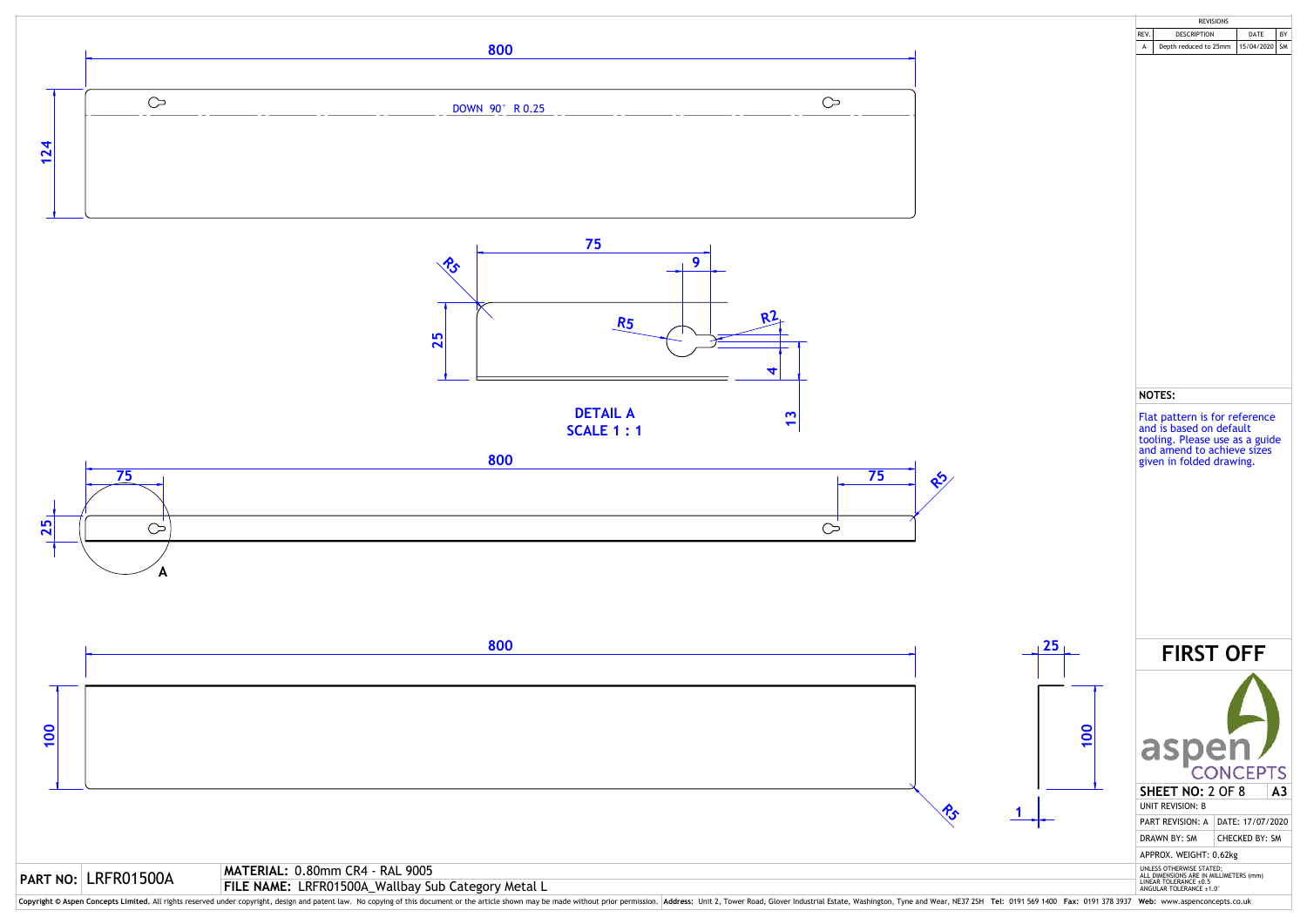

Copyright © Aspen Concepts Limited. All rights reserved under copyright, design and patent law. No copying of this document or the article shown may be made without prior permission. Address: Unit 2, Tower Road, Glover Ind

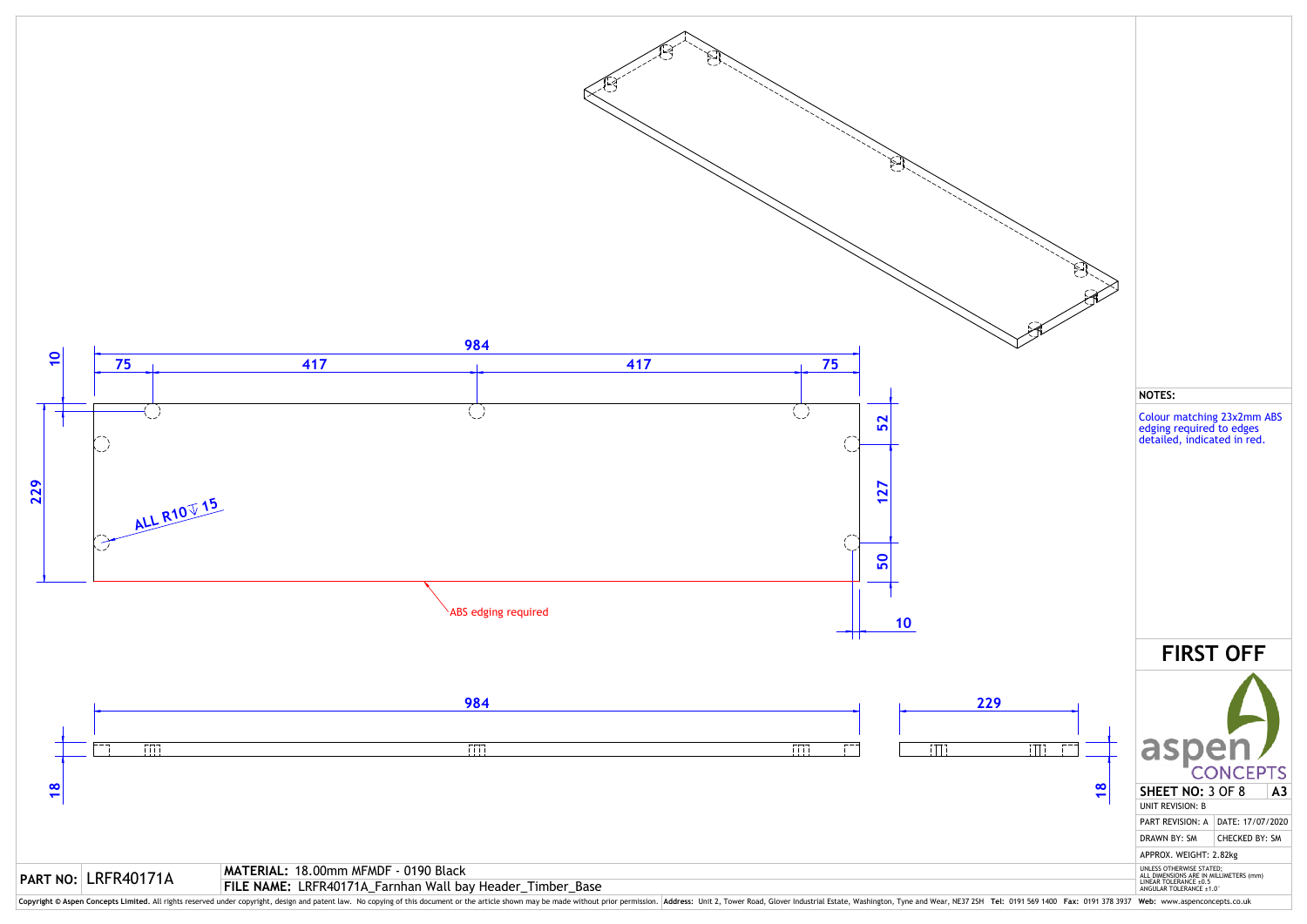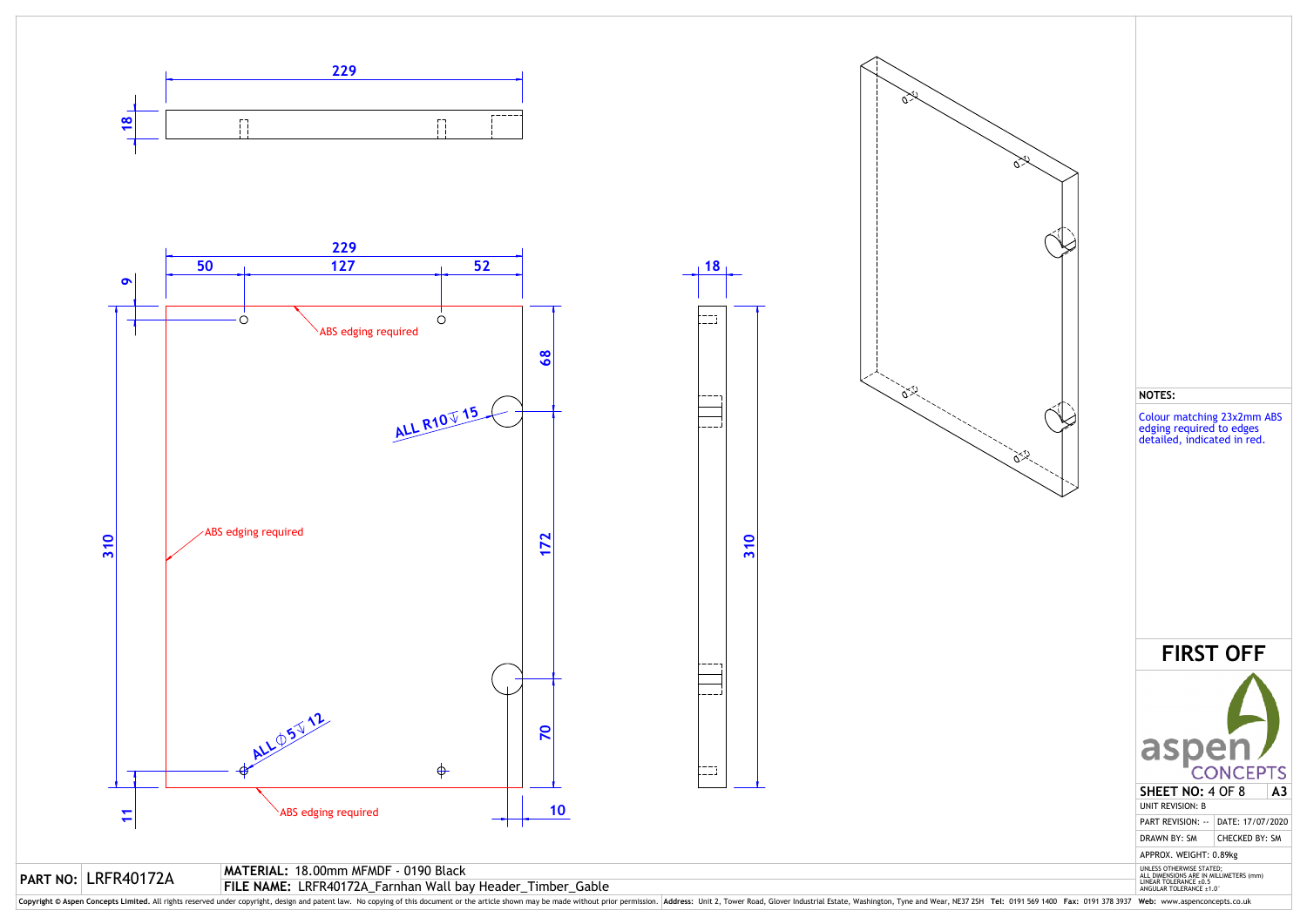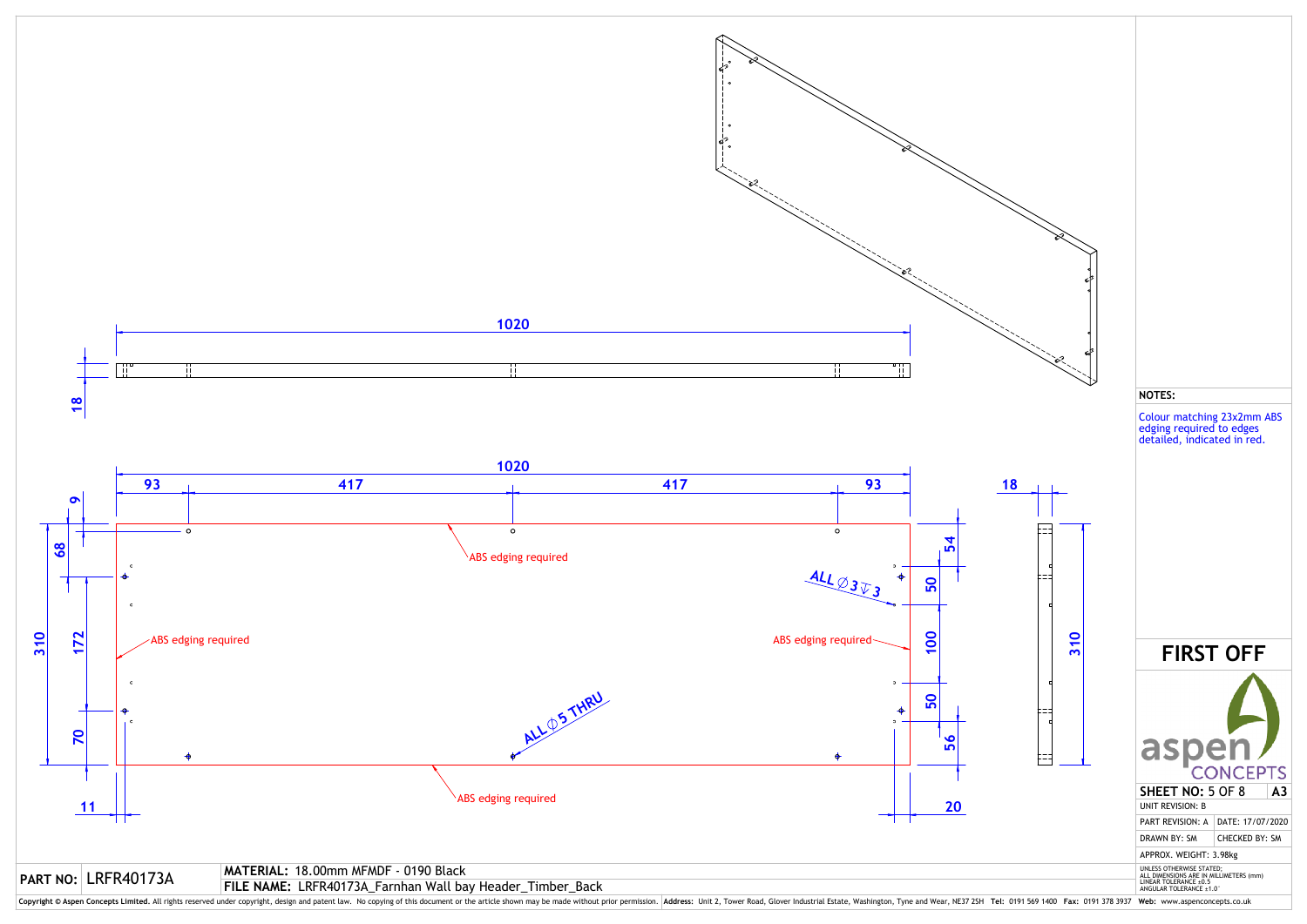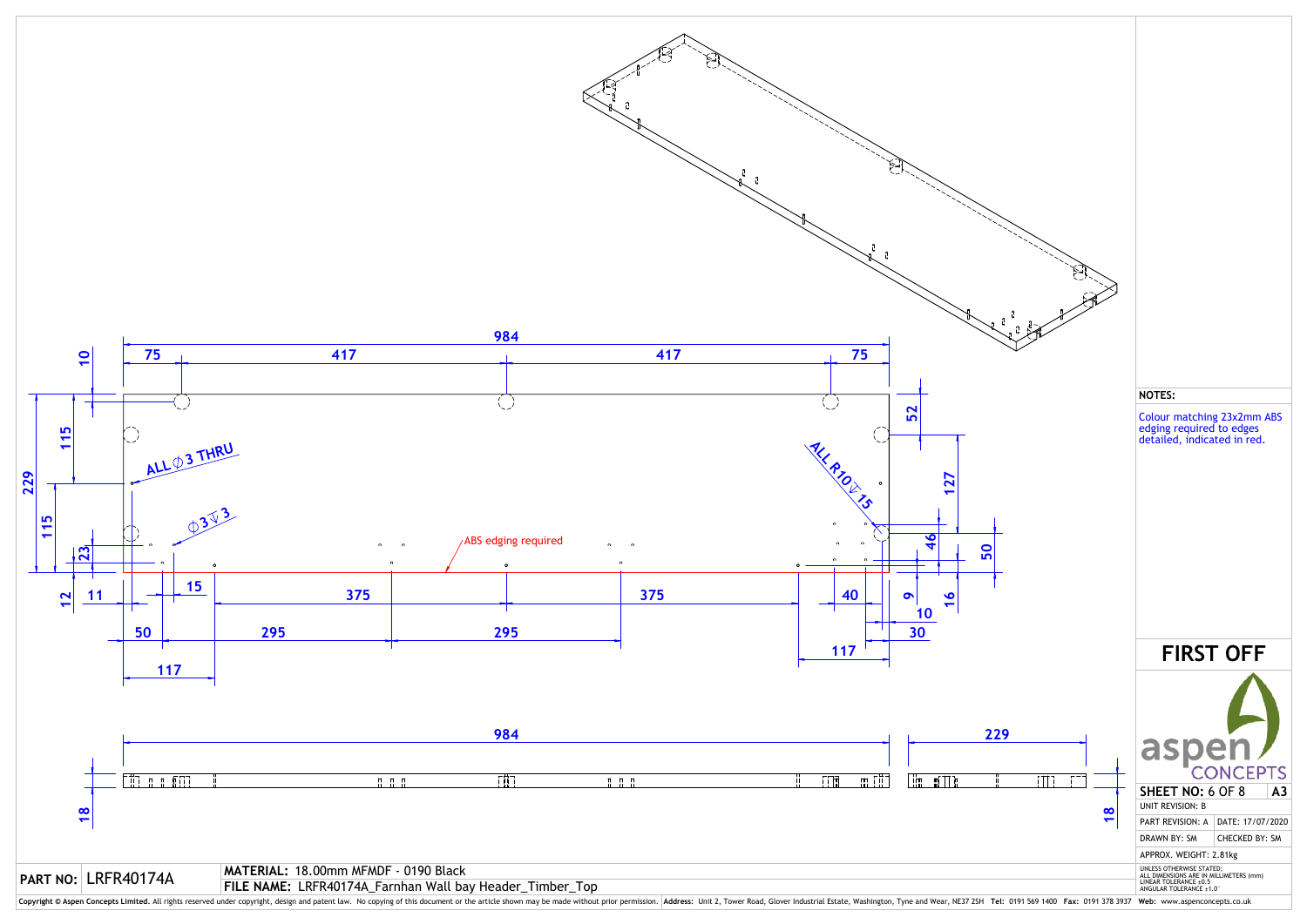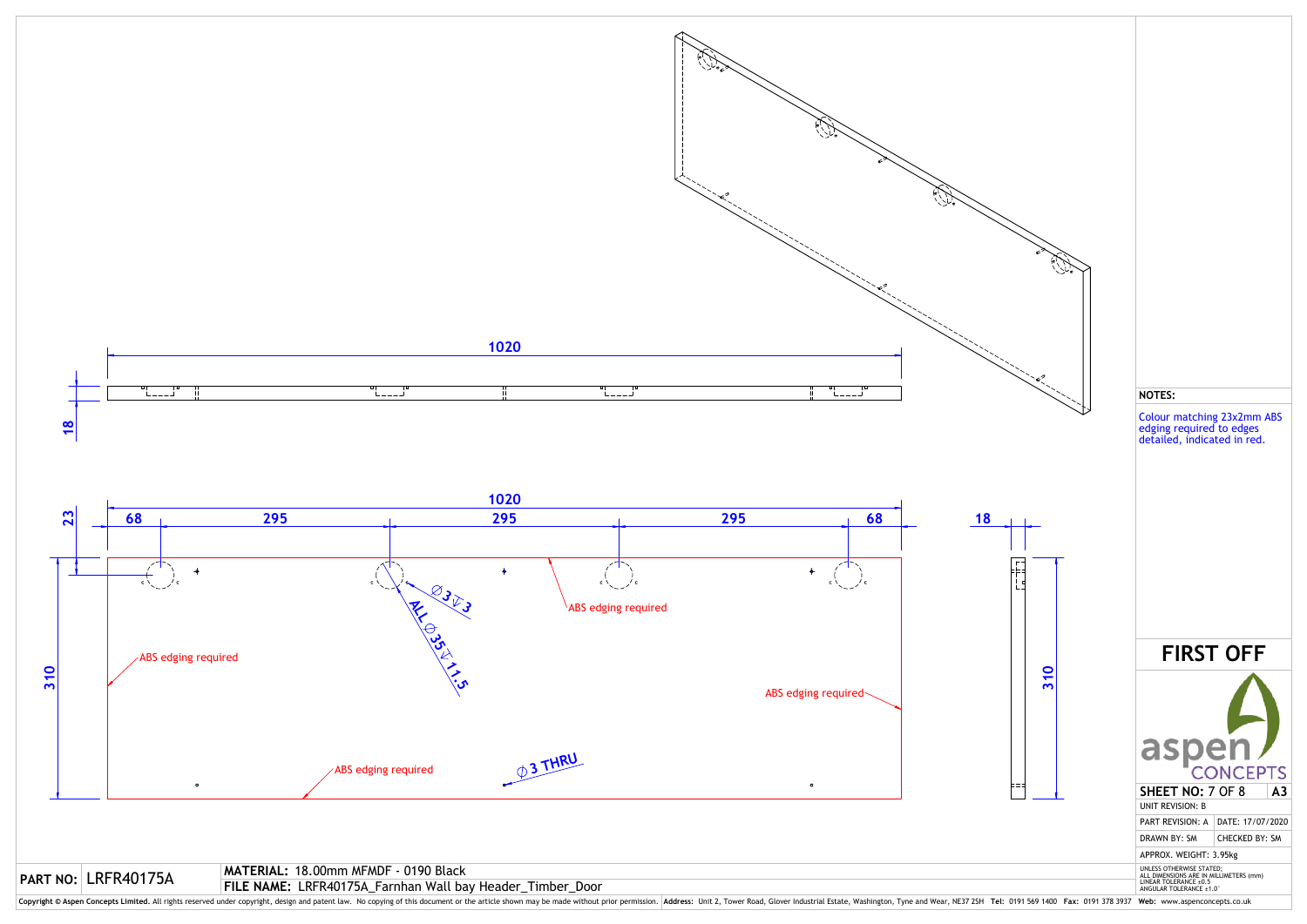